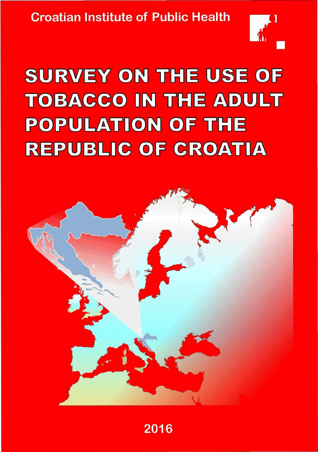**Croatian Institute of Public Health** 



# SURVEY ON THE USE OF **TOBACCO IN THE ADULT POPULATION OF THE REPUBLIC OF CROATIA**

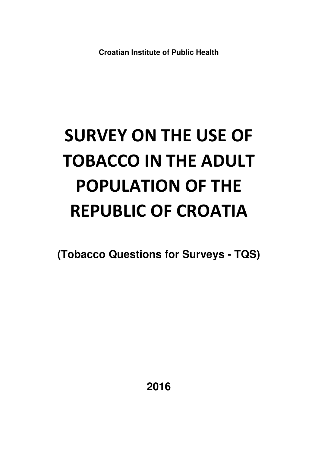**Croatian Institute of Public Health** 

# **SURVEY ON THE USE OF TOBACCO IN THE ADULT POPULATION OF THE REPUBLIC OF CROATIA**

**(Tobacco Questions for Surveys - TQS)**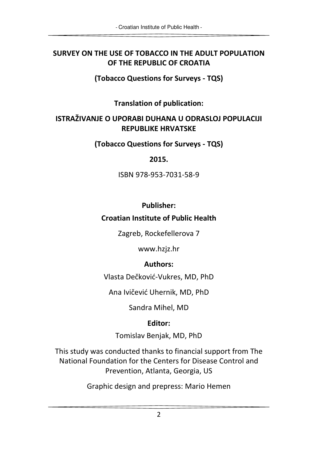#### **SURVEY ON THE USE OF TOBACCO IN THE ADULT POPULATION OF THE REPUBLIC OF CROATIA**

**(Tobacco Questions for Surveys - TQS)** 

**Translation of publication:** 

#### **ISTRAŽIVANJE O UPORABI DUHANA U ODRASLOJ POPULACIJI REPUBLIKE HRVATSKE**

**(Tobacco Questions for Surveys - TQS)** 

#### **2015.**

ISBN 978-953-7031-58-9

#### **Publisher:**

#### **Croatian Institute of Public Health**

Zagreb, Rockefellerova 7

www.hzjz.hr

#### **Authors:**

Vlasta Dečković-Vukres, MD, PhD

Ana Ivičević Uhernik, MD, PhD

Sandra Mihel, MD

## **Editor:**

Tomislav Benjak, MD, PhD

This study was conducted thanks to financial support from The National Foundation for the Centers for Disease Control and Prevention, Atlanta, Georgia, US

Graphic design and prepress: Mario Hemen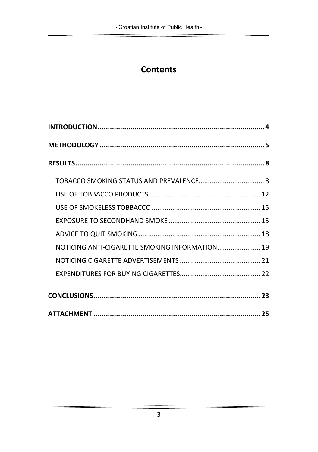# **Contents**

| NOTICING ANTI-CIGARETTE SMOKING INFORMATION 19 |  |
|------------------------------------------------|--|
|                                                |  |
|                                                |  |
|                                                |  |
|                                                |  |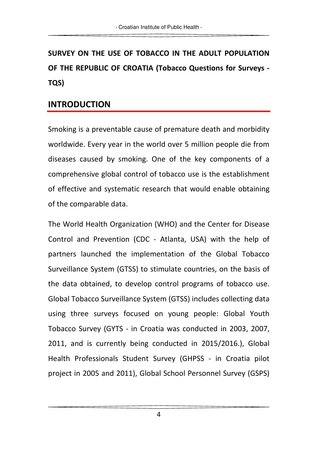# **SURVEY ON THE USE OF TOBACCO IN THE ADULT POPULATION OF THE REPUBLIC OF CROATIA (Tobacco Questions for Surveys - TQS)**

#### **INTRODUCTION**

Smoking is a preventable cause of premature death and morbidity worldwide. Every year in the world over 5 million people die from diseases caused by smoking. One of the key components of a comprehensive global control of tobacco use is the establishment of effective and systematic research that would enable obtaining of the comparable data.

The World Health Organization (WHO) and the Center for Disease Control and Prevention (CDC - Atlanta, USA) with the help of partners launched the implementation of the Global Tobacco Surveillance System (GTSS) to stimulate countries, on the basis of the data obtained, to develop control programs of tobacco use. Global Tobacco Surveillance System (GTSS) includes collecting data using three surveys focused on young people: Global Youth Tobacco Survey (GYTS - in Croatia was conducted in 2003, 2007, 2011, and is currently being conducted in 2015/2016.), Global Health Professionals Student Survey (GHPSS - in Croatia pilot project in 2005 and 2011), Global School Personnel Survey (GSPS)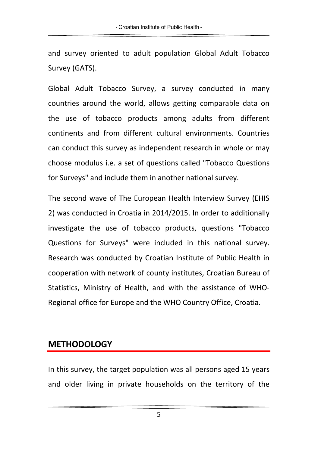and survey oriented to adult population Global Adult Tobacco Survey (GATS).

Global Adult Tobacco Survey, a survey conducted in many countries around the world, allows getting comparable data on the use of tobacco products among adults from different continents and from different cultural environments. Countries can conduct this survey as independent research in whole or may choose modulus i.e. a set of questions called "Tobacco Questions for Surveys" and include them in another national survey.

The second wave of The European Health Interview Survey (EHIS 2) was conducted in Croatia in 2014/2015. In order to additionally investigate the use of tobacco products, questions "Tobacco Questions for Surveys" were included in this national survey. Research was conducted by Croatian Institute of Public Health in cooperation with network of county institutes, Croatian Bureau of Statistics, Ministry of Health, and with the assistance of WHO-Regional office for Europe and the WHO Country Office, Croatia.

## **METHODOLOGY**

In this survey, the target population was all persons aged 15 years and older living in private households on the territory of the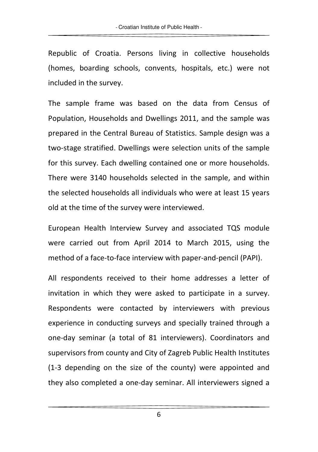Republic of Croatia. Persons living in collective households (homes, boarding schools, convents, hospitals, etc.) were not included in the survey.

The sample frame was based on the data from Census of Population, Households and Dwellings 2011, and the sample was prepared in the Central Bureau of Statistics. Sample design was a two-stage stratified. Dwellings were selection units of the sample for this survey. Each dwelling contained one or more households. There were 3140 households selected in the sample, and within the selected households all individuals who were at least 15 years old at the time of the survey were interviewed.

European Health Interview Survey and associated TQS module were carried out from April 2014 to March 2015, using the method of a face-to-face interview with paper-and-pencil (PAPI).

All respondents received to their home addresses a letter of invitation in which they were asked to participate in a survey. Respondents were contacted by interviewers with previous experience in conducting surveys and specially trained through a one-day seminar (a total of 81 interviewers). Coordinators and supervisors from county and City of Zagreb Public Health Institutes (1-3 depending on the size of the county) were appointed and they also completed a one-day seminar. All interviewers signed a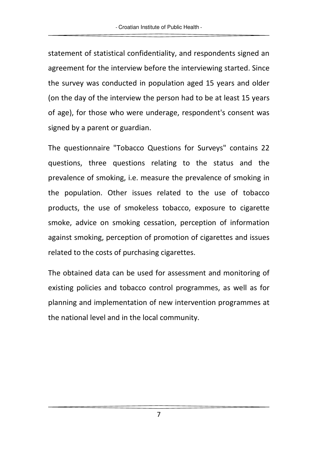statement of statistical confidentiality, and respondents signed an agreement for the interview before the interviewing started. Since the survey was conducted in population aged 15 years and older (on the day of the interview the person had to be at least 15 years of age), for those who were underage, respondent's consent was signed by a parent or guardian.

The questionnaire "Tobacco Questions for Surveys" contains 22 questions, three questions relating to the status and the prevalence of smoking, i.e. measure the prevalence of smoking in the population. Other issues related to the use of tobacco products, the use of smokeless tobacco, exposure to cigarette smoke, advice on smoking cessation, perception of information against smoking, perception of promotion of cigarettes and issues related to the costs of purchasing cigarettes.

The obtained data can be used for assessment and monitoring of existing policies and tobacco control programmes, as well as for planning and implementation of new intervention programmes at the national level and in the local community.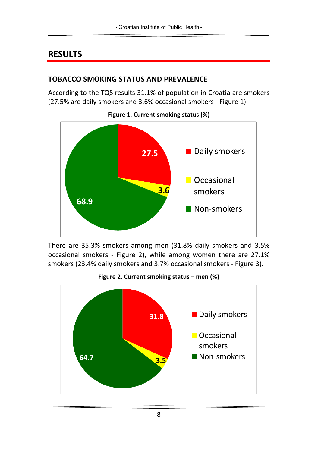# **RESULTS**

#### **TOBACCO SMOKING STATUS AND PREVALENCE**

According to the TQS results 31.1% of population in Croatia are smokers (27.5% are daily smokers and 3.6% occasional smokers - Figure 1).



There are 35.3% smokers among men (31.8% daily smokers and 3.5% occasional smokers - Figure 2), while among women there are 27.1% smokers (23.4% daily smokers and 3.7% occasional smokers - Figure 3).

**Figure 2. Current smoking status – men (%)** 



**Figure 1. Current smoking status (%)**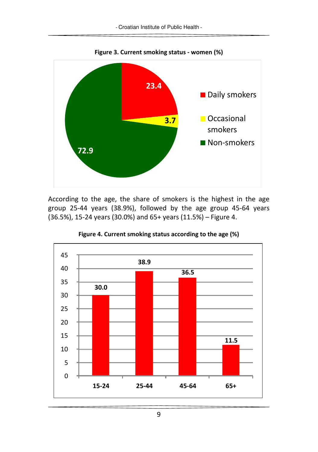

**Figure 3. Current smoking status - women (%)**

According to the age, the share of smokers is the highest in the age group 25-44 years (38.9%), followed by the age group 45-64 years (36.5%), 15-24 years (30.0%) and 65+ years (11.5%) – Figure 4.



**Figure 4. Current smoking status according to the age (%)**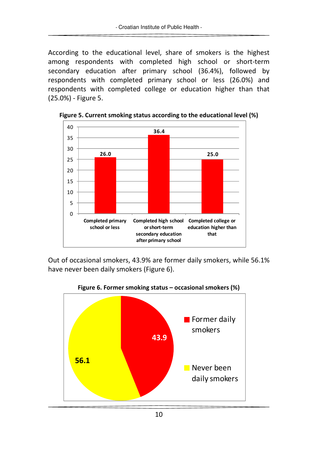According to the educational level, share of smokers is the highest among respondents with completed high school or short-term secondary education after primary school (36.4%), followed by respondents with completed primary school or less (26.0%) and respondents with completed college or education higher than that (25.0%) - Figure 5.



**Figure 5. Current smoking status according to the educational level (%)** 

Out of occasional smokers, 43.9% are former daily smokers, while 56.1% have never been daily smokers (Figure 6).



**Figure 6. Former smoking status – occasional smokers (%)**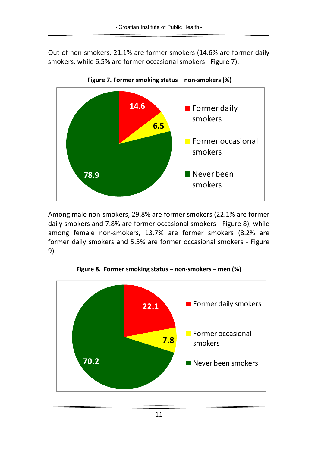Out of non-smokers, 21.1% are former smokers (14.6% are former daily smokers, while 6.5% are former occasional smokers - Figure 7).



Among male non-smokers, 29.8% are former smokers (22.1% are former daily smokers and 7.8% are former occasional smokers - Figure 8), while among female non-smokers, 13.7% are former smokers (8.2% are former daily smokers and 5.5% are former occasional smokers - Figure 9).



**Figure 8. Former smoking status – non-smokers – men (%)**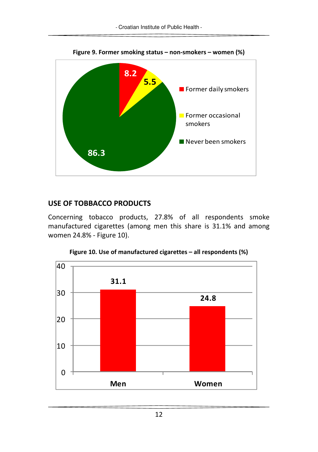

**Figure 9. Former smoking status – non-smokers – women (%)** 

#### **USE OF TOBBACCO PRODUCTS**

Concerning tobacco products, 27.8% of all respondents smoke manufactured cigarettes (among men this share is 31.1% and among women 24.8% - Figure 10).



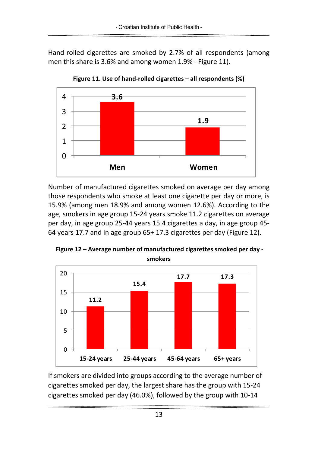Hand-rolled cigarettes are smoked by 2.7% of all respondents (among men this share is 3.6% and among women 1.9% - Figure 11).



**Figure 11. Use of hand-rolled cigarettes – all respondents (%)** 

Number of manufactured cigarettes smoked on average per day among those respondents who smoke at least one cigarette per day or more, is 15.9% (among men 18.9% and among women 12.6%). According to the age, smokers in age group 15-24 years smoke 11.2 cigarettes on average per day, in age group 25-44 years 15.4 cigarettes a day, in age group 45- 64 years 17.7 and in age group 65+ 17.3 cigarettes per day (Figure 12).

 **Figure 12 – Average number of manufactured cigarettes smoked per day smokers** 



If smokers are divided into groups according to the average number of cigarettes smoked per day, the largest share has the group with 15-24 cigarettes smoked per day (46.0%), followed by the group with 10-14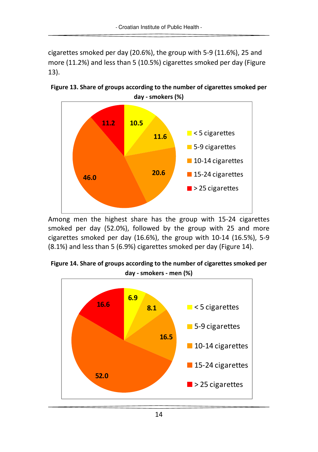cigarettes smoked per day (20.6%), the group with 5-9 (11.6%), 25 and more (11.2%) and less than 5 (10.5%) cigarettes smoked per day (Figure 13).



**Figure 13. Share of groups according to the number of cigarettes smoked per day - smokers (%)** 

Among men the highest share has the group with 15-24 cigarettes smoked per day (52.0%), followed by the group with 25 and more cigarettes smoked per day (16.6%), the group with 10-14 (16.5%), 5-9 (8.1%) and less than 5 (6.9%) cigarettes smoked per day (Figure 14).

**Figure 14. Share of groups according to the number of cigarettes smoked per day - smokers - men (%)** 

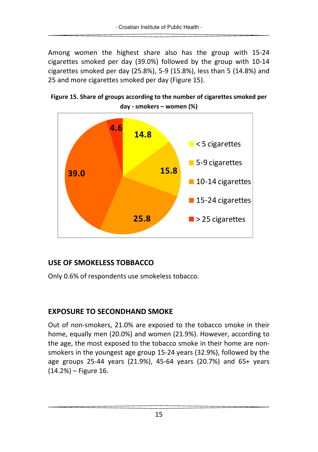Among women the highest share also has the group with 15-24 cigarettes smoked per day (39.0%) followed by the group with 10-14 cigarettes smoked per day (25.8%), 5-9 (15.8%), less than 5 (14.8%) and 25 and more cigarettes smoked per day (Figure 15).





#### **USE OF SMOKELESS TOBBACCO**

Only 0.6% of respondents use smokeless tobacco.

#### **EXPOSURE TO SECONDHAND SMOKE**

Out of non-smokers, 21.0% are exposed to the tobacco smoke in their home, equally men (20.0%) and women (21.9%). However, according to the age, the most exposed to the tobacco smoke in their home are nonsmokers in the youngest age group 15-24 years (32.9%), followed by the age groups 25-44 years (21.9%), 45-64 years (20.7%) and 65+ years (14.2%) – Figure 16.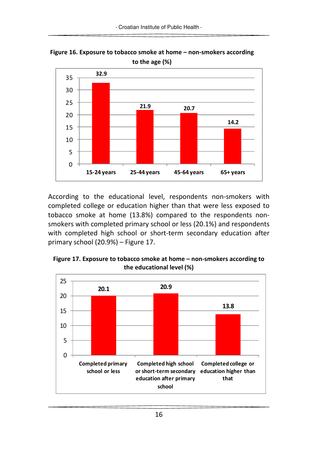

**Figure 16. Exposure to tobacco smoke at home – non-smokers according to the age (%)** 

According to the educational level, respondents non-smokers with completed college or education higher than that were less exposed to tobacco smoke at home (13.8%) compared to the respondents nonsmokers with completed primary school or less (20.1%) and respondents with completed high school or short-term secondary education after primary school (20.9%) – Figure 17.

**Figure 17. Exposure to tobacco smoke at home – non-smokers according to the educational level (%)** 

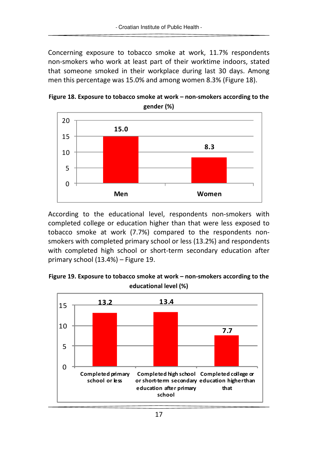Concerning exposure to tobacco smoke at work, 11.7% respondents non-smokers who work at least part of their worktime indoors, stated that someone smoked in their workplace during last 30 days. Among men this percentage was 15.0% and among women 8.3% (Figure 18).





According to the educational level, respondents non-smokers with completed college or education higher than that were less exposed to tobacco smoke at work (7.7%) compared to the respondents nonsmokers with completed primary school or less (13.2%) and respondents with completed high school or short-term secondary education after primary school (13.4%) – Figure 19.



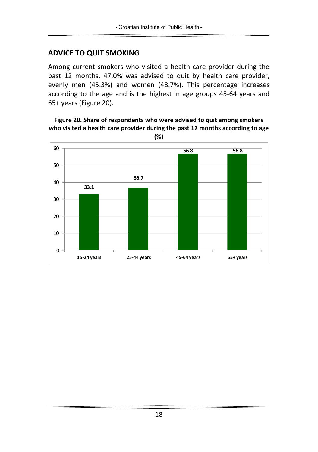#### **ADVICE TO QUIT SMOKING**

Among current smokers who visited a health care provider during the past 12 months, 47.0% was advised to quit by health care provider, evenly men (45.3%) and women (48.7%). This percentage increases according to the age and is the highest in age groups 45-64 years and 65+ years (Figure 20).

#### **Figure 20. Share of respondents who were advised to quit among smokers who visited a health care provider during the past 12 months according to age**



**(%)**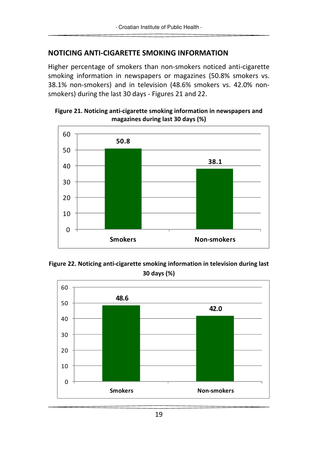#### **NOTICING ANTI-CIGARETTE SMOKING INFORMATION**

Higher percentage of smokers than non-smokers noticed anti-cigarette smoking information in newspapers or magazines (50.8% smokers vs. 38.1% non-smokers) and in television (48.6% smokers vs. 42.0% nonsmokers) during the last 30 days - Figures 21 and 22.





**Figure 22. Noticing anti-cigarette smoking information in television during last 30 days (%)** 

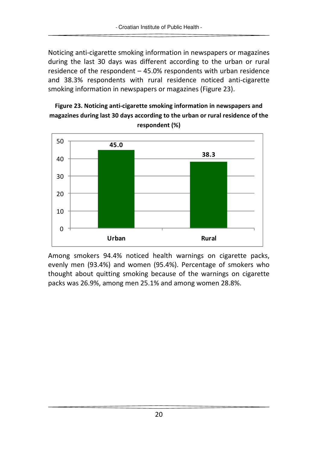Noticing anti-cigarette smoking information in newspapers or magazines during the last 30 days was different according to the urban or rural residence of the respondent – 45.0% respondents with urban residence and 38.3% respondents with rural residence noticed anti-cigarette smoking information in newspapers or magazines (Figure 23).

#### **Figure 23. Noticing anti-cigarette smoking information in newspapers and magazines during last 30 days according to the urban or rural residence of the respondent (%)**



Among smokers 94.4% noticed health warnings on cigarette packs, evenly men (93.4%) and women (95.4%). Percentage of smokers who thought about quitting smoking because of the warnings on cigarette packs was 26.9%, among men 25.1% and among women 28.8%.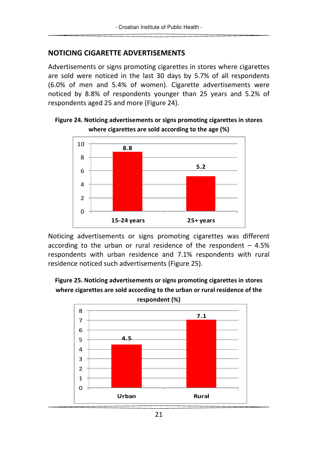#### **NOTICING CIGARETTE ADVERTISEMENTS**

Advertisements or signs promoting cigarettes in stores where cigarettes are sold were noticed in the last 30 days by 5.7% of all respondents (6.0% of men and 5.4% of women). Cigarette advertisements were noticed by 8.8% of respondents younger than 25 years and 5.2% of respondents aged 25 and more (Figure 24).



**Figure 24. Noticing advertisements or signs promoting cigarettes in stores where cigarettes are sold according to the age (%)** 

Noticing advertisements or signs promoting cigarettes was different according to the urban or rural residence of the respondent  $-4.5%$ respondents with urban residence and 7.1% respondents with rural residence noticed such advertisements (Figure 25).



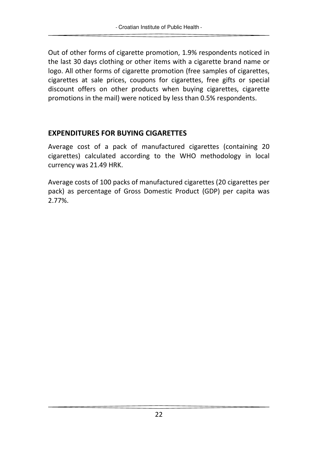Out of other forms of cigarette promotion, 1.9% respondents noticed in the last 30 days clothing or other items with a cigarette brand name or logo. All other forms of cigarette promotion (free samples of cigarettes, cigarettes at sale prices, coupons for cigarettes, free gifts or special discount offers on other products when buying cigarettes, cigarette promotions in the mail) were noticed by less than 0.5% respondents.

#### **EXPENDITURES FOR BUYING CIGARETTES**

Average cost of a pack of manufactured cigarettes (containing 20 cigarettes) calculated according to the WHO methodology in local currency was 21.49 HRK.

Average costs of 100 packs of manufactured cigarettes (20 cigarettes per pack) as percentage of Gross Domestic Product (GDP) per capita was 2.77%.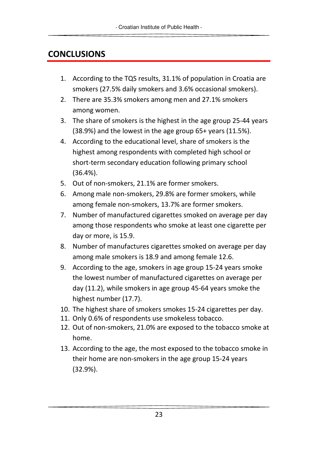# **CONCLUSIONS**

- 1. According to the TQS results, 31.1% of population in Croatia are smokers (27.5% daily smokers and 3.6% occasional smokers).
- 2. There are 35.3% smokers among men and 27.1% smokers among women.
- 3. The share of smokers is the highest in the age group 25-44 years (38.9%) and the lowest in the age group 65+ years (11.5%).
- 4. According to the educational level, share of smokers is the highest among respondents with completed high school or short-term secondary education following primary school (36.4%).
- 5. Out of non-smokers, 21.1% are former smokers.
- 6. Among male non-smokers, 29.8% are former smokers, while among female non-smokers, 13.7% are former smokers.
- 7. Number of manufactured cigarettes smoked on average per day among those respondents who smoke at least one cigarette per day or more, is 15.9.
- 8. Number of manufactures cigarettes smoked on average per day among male smokers is 18.9 and among female 12.6.
- 9. According to the age, smokers in age group 15-24 years smoke the lowest number of manufactured cigarettes on average per day (11.2), while smokers in age group 45-64 years smoke the highest number (17.7).
- 10. The highest share of smokers smokes 15-24 cigarettes per day.
- 11. Only 0.6% of respondents use smokeless tobacco.
- 12. Out of non-smokers, 21.0% are exposed to the tobacco smoke at home.
- 13. According to the age, the most exposed to the tobacco smoke in their home are non-smokers in the age group 15-24 years (32.9%).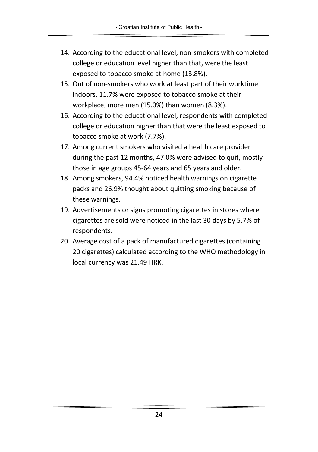- 14. According to the educational level, non-smokers with completed college or education level higher than that, were the least exposed to tobacco smoke at home (13.8%).
- 15. Out of non-smokers who work at least part of their worktime indoors, 11.7% were exposed to tobacco smoke at their workplace, more men (15.0%) than women (8.3%).
- 16. According to the educational level, respondents with completed college or education higher than that were the least exposed to tobacco smoke at work (7.7%).
- 17. Among current smokers who visited a health care provider during the past 12 months, 47.0% were advised to quit, mostly those in age groups 45-64 years and 65 years and older.
- 18. Among smokers, 94.4% noticed health warnings on cigarette packs and 26.9% thought about quitting smoking because of these warnings.
- 19. Advertisements or signs promoting cigarettes in stores where cigarettes are sold were noticed in the last 30 days by 5.7% of respondents.
- 20. Average cost of a pack of manufactured cigarettes (containing 20 cigarettes) calculated according to the WHO methodology in local currency was 21.49 HRK.